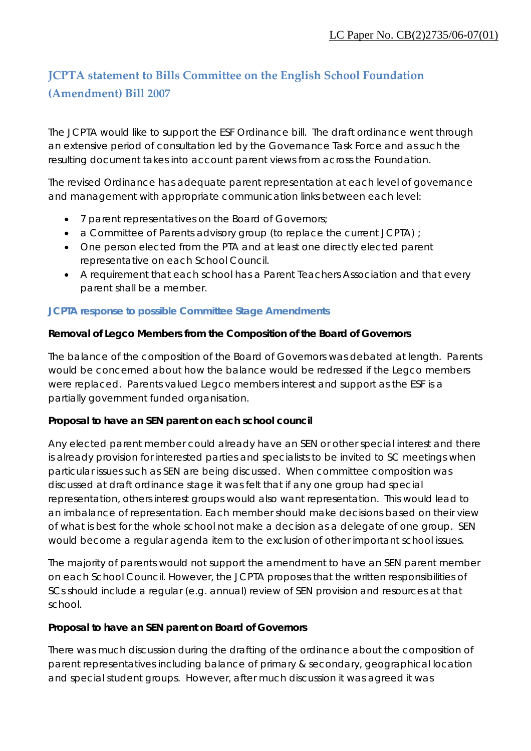# **JCPTA statement to Bills Committee on the English School Foundation (Amendment) Bill 2007**

The JCPTA would like to support the ESF Ordinance bill. The draft ordinance went through an extensive period of consultation led by the Governance Task Force and as such the resulting document takes into account parent views from across the Foundation.

The revised Ordinance has adequate parent representation at each level of governance and management with appropriate communication links between each level:

- 7 parent representatives on the Board of Governors;
- a Committee of Parents advisory group (to replace the current JCPTA) ;
- One person elected from the PTA and at least one directly elected parent representative on each School Council.
- A requirement that each school has a Parent Teachers Association and that every parent shall be a member.

### **JCPTA response to possible Committee Stage Amendments**

#### **Removal of Legco Members from the Composition of the Board of Governors**

The balance of the composition of the Board of Governors was debated at length. Parents would be concerned about how the balance would be redressed if the Legco members were replaced. Parents valued Legco members interest and support as the ESF is a partially government funded organisation.

#### **Proposal to have an SEN parent on each school council**

Any elected parent member could already have an SEN or other special interest and there is already provision for interested parties and specialists to be invited to SC meetings when particular issues such as SEN are being discussed. When committee composition was discussed at draft ordinance stage it was felt that if any one group had special representation, others interest groups would also want representation. This would lead to an imbalance of representation. Each member should make decisions based on their view of what is best for the whole school not make a decision as a delegate of one group. SEN would become a regular agenda item to the exclusion of other important school issues.

The majority of parents would not support the amendment to have an SEN parent member on each School Council. However, the JCPTA proposes that the written responsibilities of SCs should include a regular (e.g. annual) review of SEN provision and resources at that school.

#### **Proposal to have an SEN parent on Board of Governors**

There was much discussion during the drafting of the ordinance about the composition of parent representatives including balance of primary & secondary, geographical location and special student groups. However, after much discussion it was agreed it was